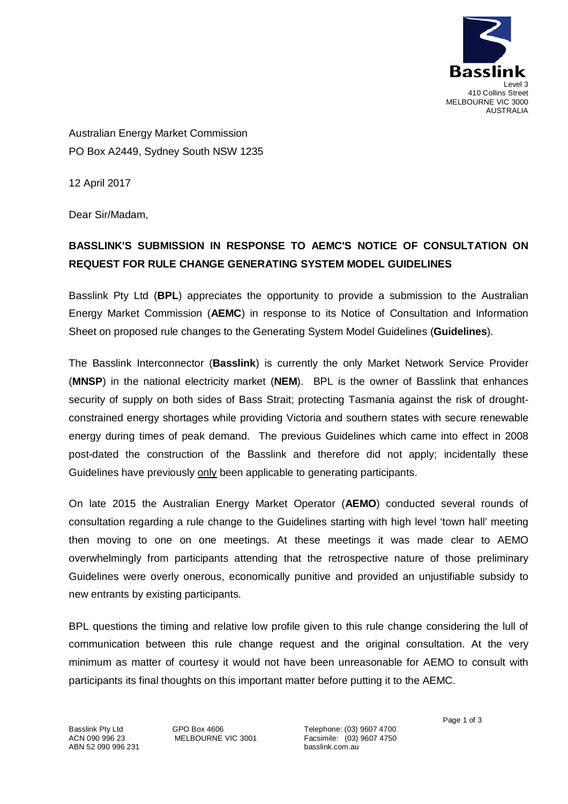

Australian Energy Market Commission PO Box A2449, Sydney South NSW 1235

12 April 2017

Dear Sir/Madam,

## **BASSLINK'S SUBMISSION IN RESPONSE TO AEMC'S NOTICE OF CONSULTATION ON REQUEST FOR RULE CHANGE GENERATING SYSTEM MODEL GUIDELINES**

Basslink Pty Ltd (**BPL**) appreciates the opportunity to provide a submission to the Australian Energy Market Commission (**AEMC**) in response to its Notice of Consultation and Information Sheet on proposed rule changes to the Generating System Model Guidelines (**Guidelines**).

The Basslink Interconnector (**Basslink**) is currently the only Market Network Service Provider (**MNSP**) in the national electricity market (**NEM**). BPL is the owner of Basslink that enhances security of supply on both sides of Bass Strait; protecting Tasmania against the risk of droughtconstrained energy shortages while providing Victoria and southern states with secure renewable energy during times of peak demand. The previous Guidelines which came into effect in 2008 post-dated the construction of the Basslink and therefore did not apply; incidentally these Guidelines have previously only been applicable to generating participants.

On late 2015 the Australian Energy Market Operator (**AEMO**) conducted several rounds of consultation regarding a rule change to the Guidelines starting with high level 'town hall' meeting then moving to one on one meetings. At these meetings it was made clear to AEMO overwhelmingly from participants attending that the retrospective nature of those preliminary Guidelines were overly onerous, economically punitive and provided an unjustifiable subsidy to new entrants by existing participants.

BPL questions the timing and relative low profile given to this rule change considering the lull of communication between this rule change request and the original consultation. At the very minimum as matter of courtesy it would not have been unreasonable for AEMO to consult with participants its final thoughts on this important matter before putting it to the AEMC.

Basslink Pty Ltd ACN 090 996 23 ABN 52 090 996 231 GPO Box 4606 MELBOURNE VIC 3001

Telephone: (03) 9607 4700 Facsimile: (03) 9607 4750 basslink.com.au

Page 1 of 3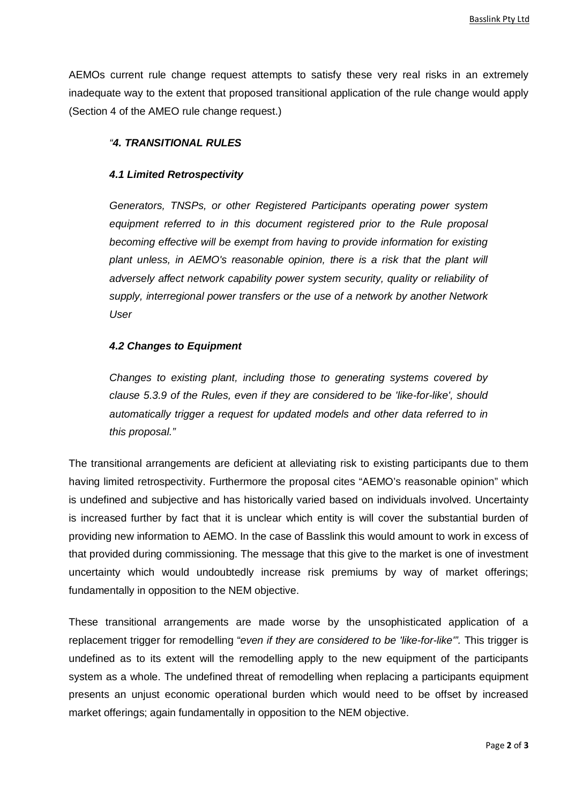AEMOs current rule change request attempts to satisfy these very real risks in an extremely inadequate way to the extent that proposed transitional application of the rule change would apply (Section 4 of the AMEO rule change request.)

## *"4. TRANSITIONAL RULES*

## *4.1 Limited Retrospectivity*

*Generators, TNSPs, or other Registered Participants operating power system equipment referred to in this document registered prior to the Rule proposal becoming effective will be exempt from having to provide information for existing plant unless, in AEMO's reasonable opinion, there is a risk that the plant will adversely affect network capability power system security, quality or reliability of supply, interregional power transfers or the use of a network by another Network User*

## *4.2 Changes to Equipment*

*Changes to existing plant, including those to generating systems covered by clause 5.3.9 of the Rules, even if they are considered to be 'like-for-like', should automatically trigger a request for updated models and other data referred to in this proposal."*

The transitional arrangements are deficient at alleviating risk to existing participants due to them having limited retrospectivity. Furthermore the proposal cites "AEMO's reasonable opinion" which is undefined and subjective and has historically varied based on individuals involved. Uncertainty is increased further by fact that it is unclear which entity is will cover the substantial burden of providing new information to AEMO. In the case of Basslink this would amount to work in excess of that provided during commissioning. The message that this give to the market is one of investment uncertainty which would undoubtedly increase risk premiums by way of market offerings; fundamentally in opposition to the NEM objective.

These transitional arrangements are made worse by the unsophisticated application of a replacement trigger for remodelling "*even if they are considered to be 'like-for-like'".* This trigger is undefined as to its extent will the remodelling apply to the new equipment of the participants system as a whole. The undefined threat of remodelling when replacing a participants equipment presents an unjust economic operational burden which would need to be offset by increased market offerings; again fundamentally in opposition to the NEM objective.